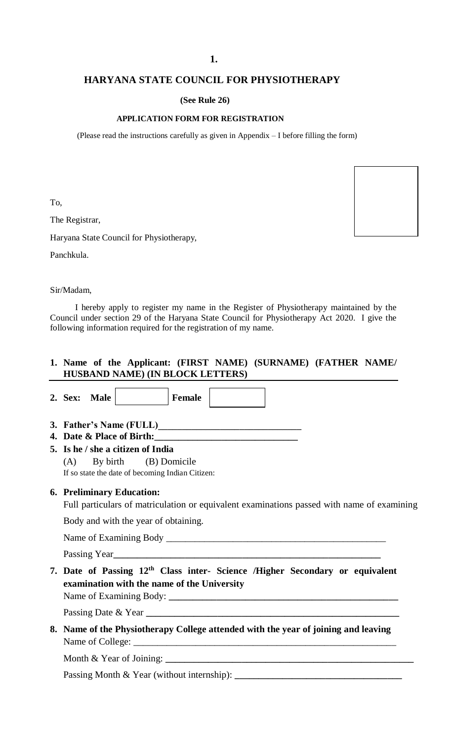#### **1.**

### **HARYANA STATE COUNCIL FOR PHYSIOTHERAPY**

 **(See Rule 26)**

#### **APPLICATION FORM FOR REGISTRATION**

(Please read the instructions carefully as given in Appendix – I before filling the form)

To,

The Registrar,

Haryana State Council for Physiotherapy,

 $\overline{\phantom{a}}$ 

Panchkula.

Sir/Madam,

 I hereby apply to register my name in the Register of Physiotherapy maintained by the Council under section 29 of the Haryana State Council for Physiotherapy Act 2020. I give the following information required for the registration of my name.

#### **1. Name of the Applicant: (FIRST NAME) (SURNAME) (FATHER NAME/ HUSBAND NAME) (IN BLOCK LETTERS)**

|  |                                                                                                                                         | 2. Sex: Male                      |  |                                                                                                                | <b>Female</b> |  |  |  |  |  |  |  |
|--|-----------------------------------------------------------------------------------------------------------------------------------------|-----------------------------------|--|----------------------------------------------------------------------------------------------------------------|---------------|--|--|--|--|--|--|--|
|  |                                                                                                                                         |                                   |  |                                                                                                                |               |  |  |  |  |  |  |  |
|  |                                                                                                                                         |                                   |  | 4. Date & Place of Birth: 2008 2010 2020 2021 2021 2022 2021 2022 2022 2022 2022 2022 2022 2022 2022 2022 2023 |               |  |  |  |  |  |  |  |
|  |                                                                                                                                         | 5. Is he / she a citizen of India |  |                                                                                                                |               |  |  |  |  |  |  |  |
|  | $(A)$ By birth $(B)$ Domicile                                                                                                           |                                   |  |                                                                                                                |               |  |  |  |  |  |  |  |
|  |                                                                                                                                         |                                   |  | If so state the date of becoming Indian Citizen:                                                               |               |  |  |  |  |  |  |  |
|  | <b>6. Preliminary Education:</b>                                                                                                        |                                   |  |                                                                                                                |               |  |  |  |  |  |  |  |
|  | Full particulars of matriculation or equivalent examinations passed with name of examining                                              |                                   |  |                                                                                                                |               |  |  |  |  |  |  |  |
|  | Body and with the year of obtaining.                                                                                                    |                                   |  |                                                                                                                |               |  |  |  |  |  |  |  |
|  |                                                                                                                                         |                                   |  |                                                                                                                |               |  |  |  |  |  |  |  |
|  |                                                                                                                                         |                                   |  |                                                                                                                |               |  |  |  |  |  |  |  |
|  | 7. Date of Passing 12 <sup>th</sup> Class inter- Science /Higher Secondary or equivalent<br>examination with the name of the University |                                   |  |                                                                                                                |               |  |  |  |  |  |  |  |
|  |                                                                                                                                         |                                   |  |                                                                                                                |               |  |  |  |  |  |  |  |

Passing Date & Year **\_\_\_\_\_\_\_\_\_\_\_\_\_\_\_\_\_\_\_\_\_\_\_\_\_\_\_\_\_\_\_\_\_\_\_\_\_\_\_\_\_\_\_\_\_\_\_\_\_\_\_\_\_**

**8. Name of the Physiotherapy College attended with the year of joining and leaving**  Name of College:

Month & Year of Joining: **\_\_\_\_\_\_\_\_\_\_\_\_\_\_\_\_\_\_\_\_\_\_\_\_\_\_\_\_\_\_\_\_\_\_\_\_\_\_\_\_\_\_\_\_\_\_\_\_\_\_\_\_**

Passing Month & Year (without internship): **\_\_\_\_\_\_\_\_\_\_\_\_\_\_\_\_\_\_\_\_\_\_\_\_\_\_\_\_\_\_\_\_\_\_\_**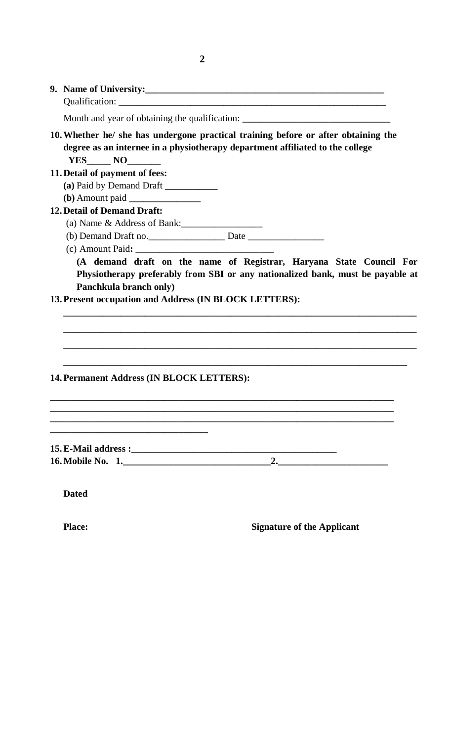| Month and year of obtaining the qualification: __________________________________                                                                                                  |  |  |  |  |  |  |  |  |
|------------------------------------------------------------------------------------------------------------------------------------------------------------------------------------|--|--|--|--|--|--|--|--|
| 10. Whether he/ she has undergone practical training before or after obtaining the<br>degree as an internee in a physiotherapy department affiliated to the college<br>$YES$ NO NO |  |  |  |  |  |  |  |  |
| 11. Detail of payment of fees:                                                                                                                                                     |  |  |  |  |  |  |  |  |
| (a) Paid by Demand Draft ____________                                                                                                                                              |  |  |  |  |  |  |  |  |
|                                                                                                                                                                                    |  |  |  |  |  |  |  |  |
| <b>12. Detail of Demand Draft:</b>                                                                                                                                                 |  |  |  |  |  |  |  |  |
| (a) Name & Address of Bank:                                                                                                                                                        |  |  |  |  |  |  |  |  |
|                                                                                                                                                                                    |  |  |  |  |  |  |  |  |
|                                                                                                                                                                                    |  |  |  |  |  |  |  |  |
| Physiotherapy preferably from SBI or any nationalized bank, must be payable at<br>Panchkula branch only)                                                                           |  |  |  |  |  |  |  |  |
| 13. Present occupation and Address (IN BLOCK LETTERS):                                                                                                                             |  |  |  |  |  |  |  |  |
| 14. Permanent Address (IN BLOCK LETTERS):                                                                                                                                          |  |  |  |  |  |  |  |  |
|                                                                                                                                                                                    |  |  |  |  |  |  |  |  |
| $\sim$ 2.                                                                                                                                                                          |  |  |  |  |  |  |  |  |

# **Place:** Signature of the Applicant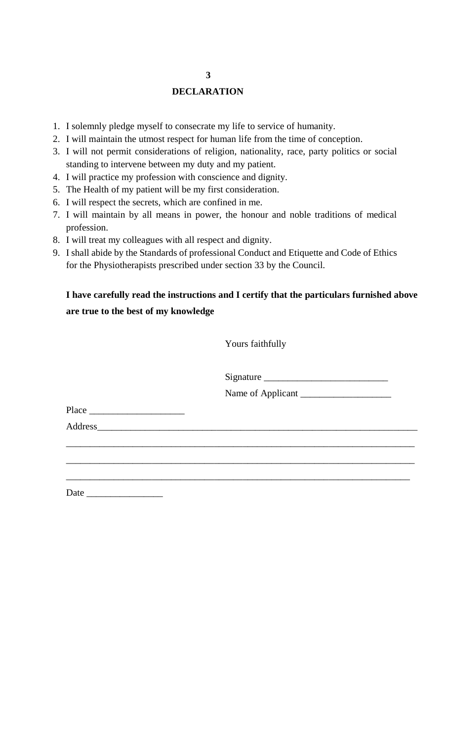# **3**

#### **DECLARATION**

- 1. I solemnly pledge myself to consecrate my life to service of humanity.
- 2. I will maintain the utmost respect for human life from the time of conception.
- 3. I will not permit considerations of religion, nationality, race, party politics or social standing to intervene between my duty and my patient.
- 4. I will practice my profession with conscience and dignity.
- 5. The Health of my patient will be my first consideration.
- 6. I will respect the secrets, which are confined in me.
- 7. I will maintain by all means in power, the honour and noble traditions of medical profession.
- 8. I will treat my colleagues with all respect and dignity.
- 9. I shall abide by the Standards of professional Conduct and Etiquette and Code of Ethics for the Physiotherapists prescribed under section 33 by the Council.

# **I have carefully read the instructions and I certify that the particulars furnished above are true to the best of my knowledge**

| Yours faithfully  |  |
|-------------------|--|
| Signature         |  |
| Name of Applicant |  |
|                   |  |
|                   |  |
|                   |  |
|                   |  |
|                   |  |
|                   |  |

Date  $\overline{\phantom{a}}$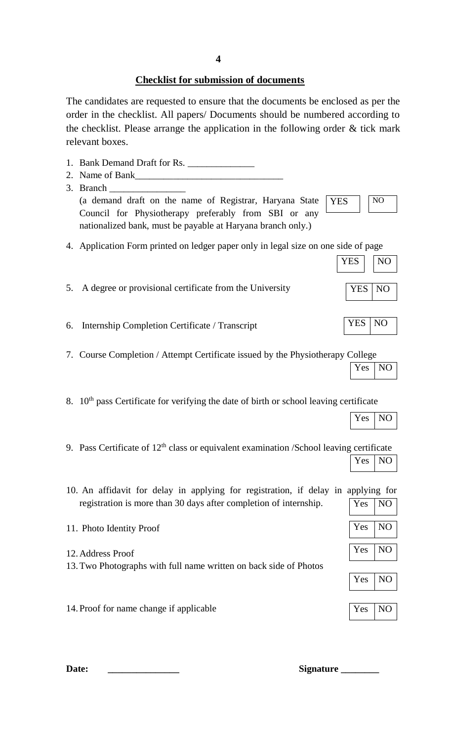## **Checklist for submission of documents**

The candidates are requested to ensure that the documents be enclosed as per the order in the checklist. All papers/ Documents should be numbered according to the checklist. Please arrange the application in the following order & tick mark relevant boxes.

|    | 1. Bank Demand Draft for Rs.                                                                       |            |                |
|----|----------------------------------------------------------------------------------------------------|------------|----------------|
|    |                                                                                                    |            |                |
|    | 3. Branch                                                                                          |            |                |
|    | (a demand draft on the name of Registrar, Haryana State<br><b>YES</b>                              |            | N <sub>O</sub> |
|    | Council for Physiotherapy preferably from SBI or any                                               |            |                |
|    | nationalized bank, must be payable at Haryana branch only.)                                        |            |                |
|    | 4. Application Form printed on ledger paper only in legal size on one side of page                 |            |                |
|    |                                                                                                    | <b>YES</b> | N <sub>O</sub> |
|    |                                                                                                    |            |                |
| 5. | A degree or provisional certificate from the University                                            | <b>YES</b> | N <sub>O</sub> |
|    |                                                                                                    |            |                |
|    |                                                                                                    |            |                |
| 6. | Internship Completion Certificate / Transcript                                                     | <b>YES</b> | N <sub>O</sub> |
|    |                                                                                                    |            |                |
|    | 7. Course Completion / Attempt Certificate issued by the Physiotherapy College                     |            |                |
|    |                                                                                                    | Yes        | N <sub>O</sub> |
|    |                                                                                                    |            |                |
|    |                                                                                                    |            |                |
|    | 8. 10 <sup>th</sup> pass Certificate for verifying the date of birth or school leaving certificate |            |                |
|    |                                                                                                    | Yes        | N <sub>O</sub> |
|    |                                                                                                    |            |                |
|    | 9. Pass Certificate of $12th$ class or equivalent examination /School leaving certificate          |            |                |
|    |                                                                                                    | Yes        | N <sub>O</sub> |
|    |                                                                                                    |            |                |
|    | 10. An affidavit for delay in applying for registration, if delay in applying for                  |            |                |
|    | registration is more than 30 days after completion of internship.                                  | Yes        | N <sub>O</sub> |
|    |                                                                                                    |            |                |
|    | 11. Photo Identity Proof                                                                           | Yes        | N <sub>O</sub> |
|    |                                                                                                    |            |                |
|    | 12. Address Proof                                                                                  | Yes        | N <sub>O</sub> |
|    | 13. Two Photographs with full name written on back side of Photos                                  |            |                |
|    |                                                                                                    | Yes        | N <sub>O</sub> |
|    |                                                                                                    |            |                |
|    | 14. Proof for name change if applicable                                                            | Yes        | N <sub>O</sub> |
|    |                                                                                                    |            |                |
|    |                                                                                                    |            |                |

**Date: \_\_\_\_\_\_\_\_\_\_\_\_\_\_\_ Signature \_\_\_\_\_\_\_\_**

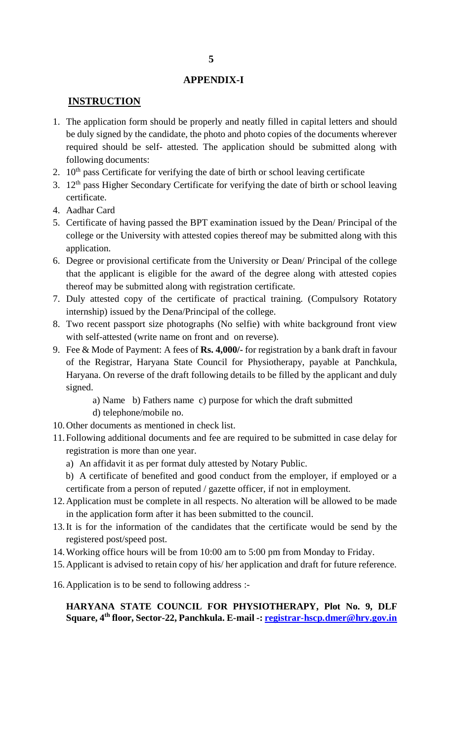#### **APPENDIX-I**

#### **INSTRUCTION**

- 1. The application form should be properly and neatly filled in capital letters and should be duly signed by the candidate, the photo and photo copies of the documents wherever required should be self- attested. The application should be submitted along with following documents:
- 2.  $10<sup>th</sup>$  pass Certificate for verifying the date of birth or school leaving certificate
- 3. 12<sup>th</sup> pass Higher Secondary Certificate for verifying the date of birth or school leaving certificate.
- 4. Aadhar Card
- 5. Certificate of having passed the BPT examination issued by the Dean/ Principal of the college or the University with attested copies thereof may be submitted along with this application.
- 6. Degree or provisional certificate from the University or Dean/ Principal of the college that the applicant is eligible for the award of the degree along with attested copies thereof may be submitted along with registration certificate.
- 7. Duly attested copy of the certificate of practical training. (Compulsory Rotatory internship) issued by the Dena/Principal of the college.
- 8. Two recent passport size photographs (No selfie) with white background front view with self-attested (write name on front and on reverse).
- 9. Fee & Mode of Payment: A fees of **Rs. 4,000/-** for registration by a bank draft in favour of the Registrar, Haryana State Council for Physiotherapy, payable at Panchkula, Haryana. On reverse of the draft following details to be filled by the applicant and duly signed.
	- a) Name b) Fathers name c) purpose for which the draft submitted
	- d) telephone/mobile no.
- 10.Other documents as mentioned in check list.
- 11.Following additional documents and fee are required to be submitted in case delay for registration is more than one year.
	- a) An affidavit it as per format duly attested by Notary Public.
	- b) A certificate of benefited and good conduct from the employer, if employed or a certificate from a person of reputed / gazette officer, if not in employment.
- 12.Application must be complete in all respects. No alteration will be allowed to be made in the application form after it has been submitted to the council.
- 13.It is for the information of the candidates that the certificate would be send by the registered post/speed post.
- 14.Working office hours will be from 10:00 am to 5:00 pm from Monday to Friday.
- 15.Applicant is advised to retain copy of his/ her application and draft for future reference.
- 16.Application is to be send to following address :-

#### **HARYANA STATE COUNCIL FOR PHYSIOTHERAPY, Plot No. 9, DLF Square, 4th floor, Sector-22, Panchkula. E-mail -: [registrar-hscp.dmer@hry.gov.in](mailto:registrar-hscp.dmer@hry.gov.in)**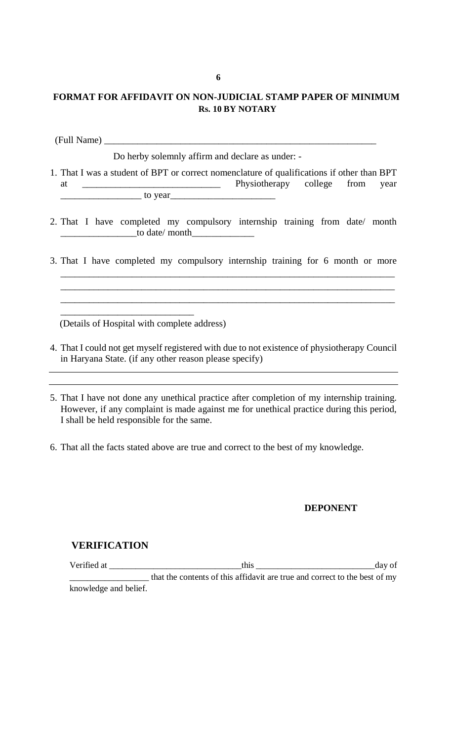## **FORMAT FOR AFFIDAVIT ON NON-JUDICIAL STAMP PAPER OF MINIMUM Rs. 10 BY NOTARY**

(Full Name) \_\_\_\_\_\_\_\_\_\_\_\_\_\_\_\_\_\_\_\_\_\_\_\_\_\_\_\_\_\_\_\_\_\_\_\_\_\_\_\_\_\_\_\_\_\_\_\_\_\_\_\_\_\_\_\_\_

Do herby solemnly affirm and declare as under: -

- 1. That I was a student of BPT or correct nomenclature of qualifications if other than BPT at \_\_\_\_\_\_\_\_\_\_\_\_\_\_\_\_\_\_\_\_\_\_\_\_\_\_\_\_\_ Physiotherapy college from year  $\sim$  to year
- 2. That I have completed my compulsory internship training from date/ month  $\frac{1}{\sqrt{1-\frac{1}{2}}}\text{to date/ month}$
- 3. That I have completed my compulsory internship training for 6 month or more

\_\_\_\_\_\_\_\_\_\_\_\_\_\_\_\_\_\_\_\_\_\_\_\_\_\_\_\_\_\_\_\_\_\_\_\_\_\_\_\_\_\_\_\_\_\_\_\_\_\_\_\_\_\_\_\_\_\_\_\_\_\_\_\_\_\_\_\_\_\_

\_\_\_\_\_\_\_\_\_\_\_\_\_\_\_\_\_\_\_\_\_\_\_\_\_\_\_\_\_\_\_\_\_\_\_\_\_\_\_\_\_\_\_\_\_\_\_\_\_\_\_\_\_\_\_\_\_\_\_\_\_\_\_\_\_\_\_\_\_\_

(Details of Hospital with complete address)

\_\_\_\_\_\_\_\_\_\_\_\_\_\_\_\_\_\_\_\_\_\_\_\_\_\_\_\_

- 4. That I could not get myself registered with due to not existence of physiotherapy Council in Haryana State. (if any other reason please specify)
- 5. That I have not done any unethical practice after completion of my internship training. However, if any complaint is made against me for unethical practice during this period, I shall be held responsible for the same.
- 6. That all the facts stated above are true and correct to the best of my knowledge.

#### **DEPONENT**

#### **VERIFICATION**

Verified at \_\_\_\_\_\_\_\_\_\_\_\_\_\_\_\_\_\_\_\_\_\_\_\_\_\_\_\_\_\_this \_\_\_\_\_\_\_\_\_\_\_\_\_\_\_\_\_\_\_\_\_\_\_\_\_\_\_day of that the contents of this affidavit are true and correct to the best of my knowledge and belief.